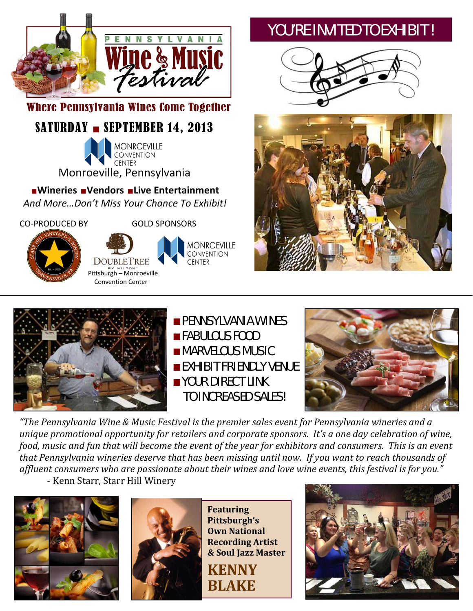

Where Pennsylvania Wines Come Together

# SATURDAY - SEPTEMBER 14, 2013

**MONROEVILLE CONVENTION CENTER** Monroeville, Pennsylvania

■**Wineries** ■**Vendors** ■**Live Entertainment** 

*And More…Don't Miss Your Chance To Exhibit!*

CO‐PRODUCED BY

GOLD SPONSORS



**MONROEVILLE CONVENTION CENTER** 

# YOU'RE INVITED TO EXHIBIT !







■PENNSYLVANIA WINES ■FABULOUS FOOD ■MARVELOUS MUSIC ■EXHIBIT FRIENDLY VENUE ■YOUR DIRECT LINK TO INCREASED SALES!



*"The Pennsylvania Wine & Music Festival is the premier sales event for Pennsylvania wineries and a unique promotional opportunity for retailers and corporate sponsors. It's a one day celebration of wine,* food, music and fun that will become the event of the year for exhibitors and consumers. This is an event that Pennsylvania wineries deserve that has been missing until now. If you want to reach thousands of *affluent consumers who are passionate about their wines and love wine events, this festival is for you."* ‐ Kenn Starr, Starr Hill Winery





**Featuring Pittsburgh's Own National Recording Artist & Soul Jazz Master BLAKE KENNY**

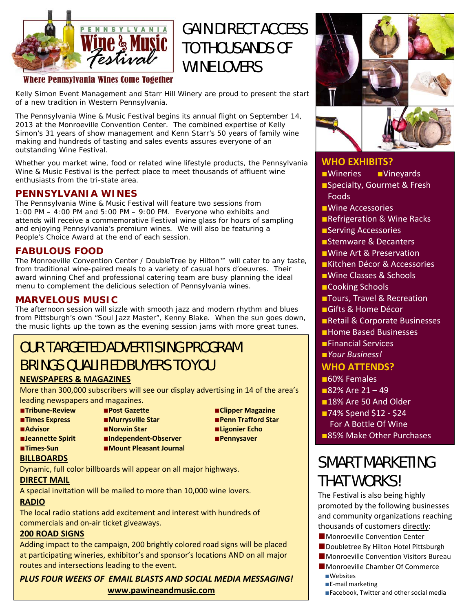

# GAIN DIRECT ACCESS TO THOUSANDS OF WINE LOVERS

### Where Pennsylvania Wines Come Together

Kelly Simon Event Management and Starr Hill Winery are proud to present the start of a new tradition in Western Pennsylvania.

The Pennsylvania Wine & Music Festival begins its annual flight on September 14, 2013 at the Monroeville Convention Center. The combined expertise of Kelly Simon's 31 years of show management and Kenn Starr's 50 years of family wine making and hundreds of tasting and sales events assures everyone of an outstanding Wine Festival.

Whether you market wine, food or related wine lifestyle products, the Pennsylvania Wine & Music Festival is the perfect place to meet thousands of affluent wine enthusiasts from the tri-state area.

### **PENNSYLVANIA WINES**

The Pennsylvania Wine & Music Festival will feature two sessions from 1:00 PM  $-$  4:00 PM and 5:00 PM  $-$  9:00 PM. Everyone who exhibits and attends will receive a commemorative Festival wine glass for hours of sampling and enjoying Pennsylvania's premium wines. We will also be featuring a People's Choice Award at the end of each session.

### **FABULOUS FOOD**

The Monroeville Convention Center / DoubleTree by Hilton™ will cater to any taste, from traditional wine-paired meals to a variety of casual hors d'oeuvres. Their award winning Chef and professional catering team are busy planning the ideal menu to complement the delicious selection of Pennsylvania wines.

### **MARVELOUS MUSIC**

The afternoon session will sizzle with smooth jazz and modern rhythm and blues from Pittsburgh's own "Soul Jazz Master", Kenny Blake. When the sun goes down, the music lights up the town as the evening session jams with more great tunes.

# OUR TARGETED ADVERTISING PROGRAM BRINGS QUALIFIED BUYERS TO YOU

### **NEWSPAPERS & MAGAZINES**

More than 300,000 subscribers will see our display advertising in 14 of the area's leading newspapers and magazines.

- 
- 
- 
- 
- 
- ■**Times Express**  ■**Murrysville Star**  ■**Penn Trafford Star** ■**Advisor** ■**Norwin Star** ■**Ligonier Echo** ■**Jeannette Spirit** ■**Independent‐Observer** ■**Pennysaver** ■**Times‐Sun** ■**Mount Pleasant Journal**
- ■**Tribune‐Review** ■**Post Gazette**  ■**Clipper Magazine**

### **BILLBOARDS**

Dynamic, full color billboards will appear on all major highways.

### **DIRECT MAIL**

A special invitation will be mailed to more than 10,000 wine lovers.

### **RADIO**

The local radio stations add excitement and interest with hundreds of commercials and on‐air ticket giveaways.

### **200 ROAD SIGNS**

Adding impact to the campaign, 200 brightly colored road signs will be placed at participating wineries, exhibitor's and sponsor's locations AND on all major routes and intersections leading to the event.

*PLUS FOUR WEEKS OF EMAIL BLASTS AND SOCIAL MEDIA MESSAGING!* **www.pawineandmusic.com**



### **WHO EXHIBITS?**

- ■Wineries ■Vineyards
- ■Specialty, Gourmet & Fresh Foods
- ■Wine Accessories
- ■Refrigeration & Wine Racks
- ■Serving Accessories
- ■Stemware & Decanters
- ■Wine Art & Preservation
- ■Kitchen Décor & Accessories
- ■Wine Classes & Schools
- ■Cooking Schools
- ■Tours, Travel & Recreation
- ■Gifts & Home Décor
- ■Retail & Corporate Businesses
- ■Home Based Businesses
- ■Financial Services
- ■*Your Business!*

### **WHO ATTENDS?**

- ■60% Females
- $-82%$  Are  $21 49$
- ■18% Are 50 And Older
- ■74% Spend \$12 \$24 For A Bottle Of Wine ■85% Make Other Purchases

# SMART MARKETING THAT WORKS!

The Festival is also being highly promoted by the following businesses and community organizations reaching thousands of customers directly:

- Monroeville Convention Center
- Doubletree By Hilton Hotel Pittsburgh
- Monroeville Convention Visitors Bureau
- ■Monroeville Chamber Of Commerce ■Websites
	- ■E-mail marketing
	- ■Facebook, Twitter and other social media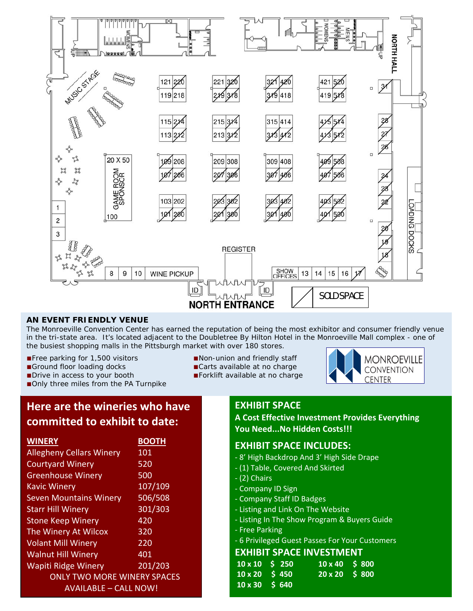

### **AN EVENT FRIENDLY VENUE**

The Monroeville Convention Center has earned the reputation of being the most exhibitor and consumer friendly venue in the tri-state area. It's located adjacent to the Doubletree By Hilton Hotel in the Monroeville Mall complex - one of the busiest shopping malls in the Pittsburgh market with over 180 stores.

- ■Free parking for 1,500 visitors ■Non-union and friendly staff
- ■Ground floor loading docks ■Carts available at no charge
- ■Drive in access to your booth ■Forklift available at no charge
- ■Only three miles from the PA Turnpike
- 
- 
- 



## **Here are the wineries who have committed to exhibit to date:**

| <b>WINERY</b>                      | <b>BOOTH</b> |  |
|------------------------------------|--------------|--|
| <b>Allegheny Cellars Winery</b>    | 101          |  |
| <b>Courtyard Winery</b>            | 520          |  |
| <b>Greenhouse Winery</b>           | 500          |  |
| <b>Kavic Winery</b>                | 107/109      |  |
| <b>Seven Mountains Winery</b>      | 506/508      |  |
| <b>Starr Hill Winery</b>           | 301/303      |  |
| <b>Stone Keep Winery</b>           | 420          |  |
| The Winery At Wilcox               | 320          |  |
| <b>Volant Mill Winery</b>          | 220          |  |
| <b>Walnut Hill Winery</b>          | 401          |  |
| <b>Wapiti Ridge Winery</b>         | 201/203      |  |
| <b>ONLY TWO MORE WINERY SPACES</b> |              |  |
| AVAILABLE - CALL NOW!              |              |  |

### **EXHIBIT SPACE**

**A Cost Effective Investment Provides Everything You Need...No Hidden Costs!!!**

### **EXHIBIT SPACE INCLUDES:**

- ‐ 8' High Backdrop And 3' High Side Drape
- ‐ (1) Table, Covered And Skirted
- ‐ (2) Chairs
- ‐ Company ID Sign
- ‐ Company Staff ID Badges
- ‐ Listing and Link On The Website
- ‐ Listing In The Show Program & Buyers Guide
- ‐ Free Parking
- ‐ 6 Privileged Guest Passes For Your Customers

### **EXHIBIT SPACE INVESTMENT**

| $10 \times 10^{-5}$ 250 | $10 \times 40$ \$ 800 |  |
|-------------------------|-----------------------|--|
| $10 \times 20$ \$ 450   | 20 x 20 S 800         |  |
| $10 \times 30$ \$ 640   |                       |  |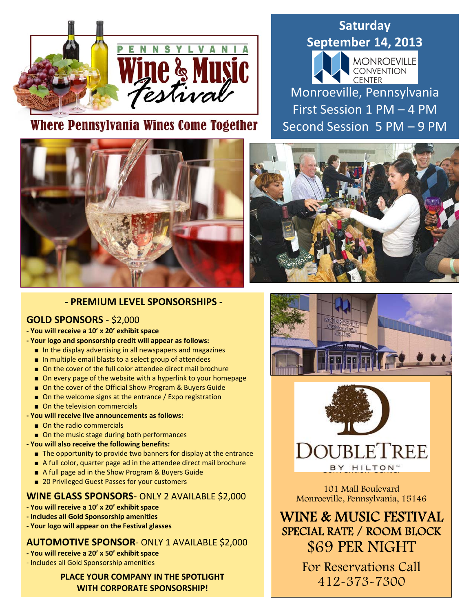

# Where Pennsylvania Wines Come Together

# **Saturday September 14, 2013 MONROEVILLE**<br>CONVENTION **CENTER** Monroeville, Pennsylvania First Session 1 PM – 4 PM Second Session 5 PM – 9 PM





### **‐ PREMIUM LEVEL SPONSORSHIPS ‐**

### **GOLD SPONSORS** ‐ \$2,000

### **‐ You will receive a 10' x 20' exhibit space**

- **‐ Your logo and sponsorship credit will appear as follows:**
	- In the display advertising in all newspapers and magazines
	- In multiple email blasts to a select group of attendees
	- On the cover of the full color attendee direct mail brochure
	- On every page of the website with a hyperlink to your homepage
	- On the cover of the Official Show Program & Buyers Guide
	- On the welcome signs at the entrance / Expo registration
	- On the television commercials

### **‐ You will receive live announcements as follows:**

- On the radio commercials
- On the music stage during both performances

### **‐ You will also receive the following benefits:**

- The opportunity to provide two banners for display at the entrance
- A full color, quarter page ad in the attendee direct mail brochure
- A full page ad in the Show Program & Buyers Guide
- 20 Privileged Guest Passes for your customers

### **WINE GLASS SPONSORS**‐ ONLY 2 AVAILABLE \$2,000

- **‐ You will receive a 10' x 20' exhibit space**
- **‐ Includes all Gold Sponsorship amenities**
- **‐ Your logo will appear on the Festival glasses**

### **AUTOMOTIVE SPONSOR**‐ ONLY 1 AVAILABLE \$2,000

- **‐ You will receive a 20' x 50' exhibit space**
- ‐ Includes all Gold Sponsorship amenities

### **PLACE YOUR COMPANY IN THE SPOTLIGHT WITH CORPORATE SPONSORSHIP!**





101 Mall Boulevard Monroeville, Pennsylvania, 15146

WINE & MUSIC FESTIVAL SPECIAL RATE / ROOM BLOCK \$69 PER NIGHT

> For Reservations Call 412-373-7300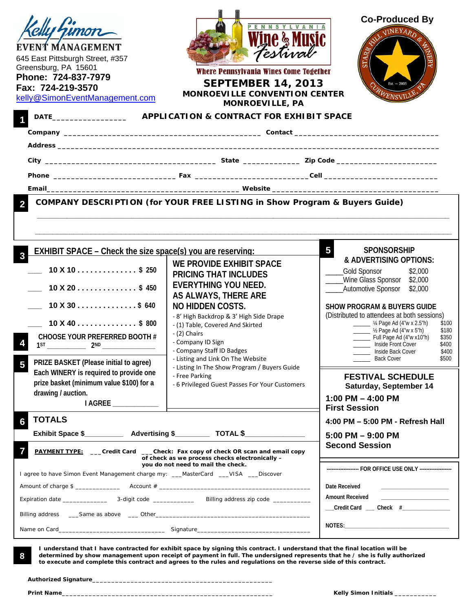| EVENT MANAGEMENT<br>645 East Pittsburgh Street, #357<br>Greensburg, PA 15601<br>Phone: 724-837-7979<br>Fax: 724-219-3570<br>kelly@SimonEventManagement.com                                                                                                                                                                                                                                                                                                                       | PENNSYLVANI<br>Testival<br>Where Pennsylvania Wines Come Together<br><b>SEPTEMBER 14, 2013</b><br><b>MONROEVILLE CONVENTION CENTER</b><br><b>MONROEVILLE, PA</b>                                                                                                                                                                                                                                                                                     | <b>Co-Produced By</b><br><b>VINEYARD</b><br>$Est. - 2005$                                                                                                                                                                                                                                                                                                                                                                                                                                                                  |
|----------------------------------------------------------------------------------------------------------------------------------------------------------------------------------------------------------------------------------------------------------------------------------------------------------------------------------------------------------------------------------------------------------------------------------------------------------------------------------|------------------------------------------------------------------------------------------------------------------------------------------------------------------------------------------------------------------------------------------------------------------------------------------------------------------------------------------------------------------------------------------------------------------------------------------------------|----------------------------------------------------------------------------------------------------------------------------------------------------------------------------------------------------------------------------------------------------------------------------------------------------------------------------------------------------------------------------------------------------------------------------------------------------------------------------------------------------------------------------|
|                                                                                                                                                                                                                                                                                                                                                                                                                                                                                  |                                                                                                                                                                                                                                                                                                                                                                                                                                                      |                                                                                                                                                                                                                                                                                                                                                                                                                                                                                                                            |
|                                                                                                                                                                                                                                                                                                                                                                                                                                                                                  |                                                                                                                                                                                                                                                                                                                                                                                                                                                      |                                                                                                                                                                                                                                                                                                                                                                                                                                                                                                                            |
|                                                                                                                                                                                                                                                                                                                                                                                                                                                                                  |                                                                                                                                                                                                                                                                                                                                                                                                                                                      |                                                                                                                                                                                                                                                                                                                                                                                                                                                                                                                            |
|                                                                                                                                                                                                                                                                                                                                                                                                                                                                                  | COMPANY DESCRIPTION (for YOUR FREE LISTING in Show Program & Buyers Guide)                                                                                                                                                                                                                                                                                                                                                                           |                                                                                                                                                                                                                                                                                                                                                                                                                                                                                                                            |
| <b>EXHIBIT SPACE – Check the size space(s) you are reserving:</b><br>$\sim$ 10 X 10 \$ 250<br>$10 \text{ X } 20 \ldots \ldots \ldots \ldots \quad $450$<br>$10 \text{ X } 30 \ldots \ldots \ldots \ldots \quad $640$<br>$10 \text{ X } 40 \ldots \ldots \ldots \ldots \text{ } $800$<br>CHOOSE YOUR PREFERRED BOOTH #<br>PRIZE BASKET (Please initial to agree)<br>5<br>Each WINERY is required to provide one<br>prize basket (minimum value \$100) for a<br>drawing / auction. | WE PROVIDE EXHIBIT SPACE<br><b>PRICING THAT INCLUDES</b><br><b>EVERYTHING YOU NEED.</b><br>AS ALWAYS, THERE ARE<br><b>NO HIDDEN COSTS.</b><br>- 8' High Backdrop & 3' High Side Drape<br>- (1) Table, Covered And Skirted<br>- (2) Chairs<br>- Company ID Sign<br>- Company Staff ID Badges<br>- Listing and Link On The Website<br>- Listing In The Show Program / Buyers Guide<br>- Free Parking<br>- 6 Privileged Guest Passes For Your Customers | 5<br><b>SPONSORSHIP</b><br>& ADVERTISING OPTIONS:<br>Gold Sponsor<br>\$2,000<br>Wine Glass Sponsor \$2,000<br>Automotive Sponsor<br>\$2,000<br><b>SHOW PROGRAM &amp; BUYERS GUIDE</b><br>(Distributed to attendees at both sessions)<br>- 14 Page Ad (4"w x 2.5"h)<br>\$100<br>$\frac{1}{2}$ /2 Page Ad (4"w x 5"h)<br>\$180<br>Full Page Ad (4"w x10"h)<br>\$350<br>_______ Inside Front Cover<br>\$400<br>Inside Back Cover<br>\$400<br><b>Back Cover</b><br>\$500<br><b>FESTIVAL SCHEDULE</b><br>Saturday, September 14 |
| AGREE _____________                                                                                                                                                                                                                                                                                                                                                                                                                                                              |                                                                                                                                                                                                                                                                                                                                                                                                                                                      | 1:00 PM $-$ 4:00 PM<br><b>First Session</b>                                                                                                                                                                                                                                                                                                                                                                                                                                                                                |
| <b>TOTALS</b>                                                                                                                                                                                                                                                                                                                                                                                                                                                                    | <b>PAYMENT TYPE:</b> ___Credit Card ___Check: Fax copy of check OR scan and email copy<br>of check as we process checks electronically -                                                                                                                                                                                                                                                                                                             | 4:00 PM - 5:00 PM - Refresh Hall<br>$5:00$ PM $-9:00$ PM<br><b>Second Session</b>                                                                                                                                                                                                                                                                                                                                                                                                                                          |
| I agree to have Simon Event Management charge my: ___MasterCard ___VISA ___Discover                                                                                                                                                                                                                                                                                                                                                                                              | you do not need to mail the check.                                                                                                                                                                                                                                                                                                                                                                                                                   | ------------------- FOR OFFICE USE ONLY --------------------                                                                                                                                                                                                                                                                                                                                                                                                                                                               |
|                                                                                                                                                                                                                                                                                                                                                                                                                                                                                  |                                                                                                                                                                                                                                                                                                                                                                                                                                                      | Date Received<br><b>Amount Received</b><br>__Credit Card ___ Check #_______________                                                                                                                                                                                                                                                                                                                                                                                                                                        |
|                                                                                                                                                                                                                                                                                                                                                                                                                                                                                  |                                                                                                                                                                                                                                                                                                                                                                                                                                                      |                                                                                                                                                                                                                                                                                                                                                                                                                                                                                                                            |

 **I understand that I have contracted for exhibit space by signing this contract. I understand that the final location will be determined by show management upon receipt of payment in full. The undersigned represents that he / she is fully authorized to execute and complete this contract and agrees to the rules and regulations on the reverse side of this contract.** 

**Authorized Signature\_\_\_\_\_\_\_\_\_\_\_\_\_\_\_\_\_\_\_\_\_\_\_\_\_\_\_\_\_\_\_\_\_\_\_\_\_\_\_\_\_\_\_\_\_\_\_** 

8